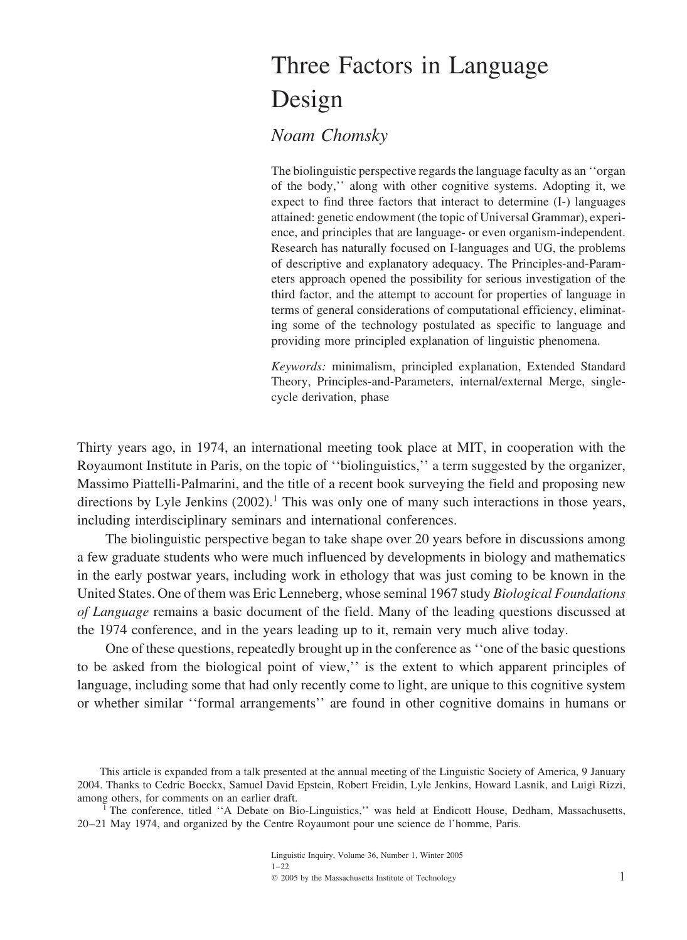# Three Factors in Language Design

## Noam Chomsky

The biolinguistic perspective regards the language faculty as an "organ" of the body," along with other cognitive systems. Adopting it, we expect to find three factors that interact to determine (I-) languages attained: genetic endowment (the topic of Universal Grammar), experience, and principles that are language- or even organism-independent. Research has naturally focused on I-languages and UG, the problems of descriptive and explanatory adequacy. The Principles-and-Parameters approach opened the possibility for serious investigation of the third factor, and the attempt to account for properties of language in terms of general considerations of computational efficiency, eliminating some of the technology postulated as specific to language and providing more principled explanation of linguistic phenomena.

Keywords: minimalism, principled explanation, Extended Standard Theory, Principles-and-Parameters, internal/external Merge, singlecycle derivation, phase

Thirty years ago, in 1974, an international meeting took place at MIT, in cooperation with the Royaumont Institute in Paris, on the topic of "biolinguistics," a term suggested by the organizer, Massimo Piattelli-Palmarini, and the title of a recent book surveying the field and proposing new directions by Lyle Jenkins  $(2002)$ .<sup>1</sup> This was only one of many such interactions in those years, including interdisciplinary seminars and international conferences.

The biolinguistic perspective began to take shape over 20 years before in discussions among a few graduate students who were much influenced by developments in biology and mathematics in the early postwar years, including work in ethology that was just coming to be known in the United States. One of them was Eric Lenneberg, whose seminal 1967 study Biological Foundations of Language remains a basic document of the field. Many of the leading questions discussed at the 1974 conference, and in the years leading up to it, remain very much alive today.

One of these questions, repeatedly brought up in the conference as "one of the basic questions" to be asked from the biological point of view," is the extent to which apparent principles of language, including some that had only recently come to light, are unique to this cognitive system or whether similar "formal arrangements" are found in other cognitive domains in humans or

<sup>1</sup>The conference, titled "A Debate on Bio-Linguistics," was held at Endicott House, Dedham, Massachusetts, 20–21 May 1974, and organized by the Centre Royaumont pour une science de l'homme, Paris.

This article is expanded from a talk presented at the annual meeting of the Linguistic Society of America, 9 January 2004. Thanks to Cedric Boeckx, Samuel David Epstein, Robert Freidin, Lyle Jenkins, Howard Lasnik, and Luigi Rizzi, among others, for comments on an earlier draft.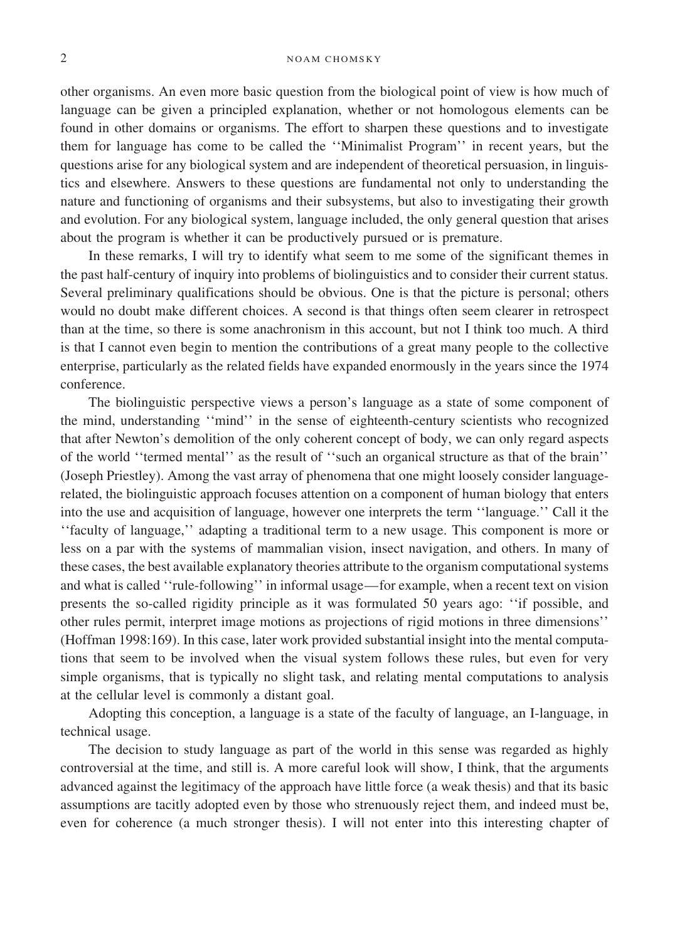#### **NOAM CHOMSKY**

other organisms. An even more basic question from the biological point of view is how much of language can be given a principled explanation, whether or not homologous elements can be found in other domains or organisms. The effort to sharpen these questions and to investigate them for language has come to be called the "Minimalist Program" in recent years, but the questions arise for any biological system and are independent of theoretical persuasion, in linguistics and elsewhere. Answers to these questions are fundamental not only to understanding the nature and functioning of organisms and their subsystems, but also to investigating their growth and evolution. For any biological system, language included, the only general question that arises about the program is whether it can be productively pursued or is premature.

In these remarks, I will try to identify what seem to me some of the significant themes in the past half-century of inquiry into problems of biolinguistics and to consider their current status. Several preliminary qualifications should be obvious. One is that the picture is personal; others would no doubt make different choices. A second is that things often seem clearer in retrospect than at the time, so there is some anachronism in this account, but not I think too much. A third is that I cannot even begin to mention the contributions of a great many people to the collective enterprise, particularly as the related fields have expanded enormously in the years since the 1974 conference

The biolinguistic perspective views a person's language as a state of some component of the mind, understanding "mind" in the sense of eighteenth-century scientists who recognized that after Newton's demolition of the only coherent concept of body, we can only regard aspects of the world "termed mental" as the result of "such an organical structure as that of the brain" (Joseph Priestley). Among the vast array of phenomena that one might loosely consider languagerelated, the biolinguistic approach focuses attention on a component of human biology that enters into the use and acquisition of language, however one interprets the term "language." Call it the "faculty of language," adapting a traditional term to a new usage. This component is more or less on a par with the systems of mammalian vision, insect navigation, and others. In many of these cases, the best available explanatory theories attribute to the organism computational systems and what is called "rule-following" in informal usage—for example, when a recent text on vision presents the so-called rigidity principle as it was formulated 50 years ago: "if possible, and other rules permit, interpret image motions as projections of rigid motions in three dimensions" (Hoffman 1998:169). In this case, later work provided substantial insight into the mental computations that seem to be involved when the visual system follows these rules, but even for very simple organisms, that is typically no slight task, and relating mental computations to analysis at the cellular level is commonly a distant goal.

Adopting this conception, a language is a state of the faculty of language, an I-language, in technical usage.

The decision to study language as part of the world in this sense was regarded as highly controversial at the time, and still is. A more careful look will show, I think, that the arguments advanced against the legitimacy of the approach have little force (a weak thesis) and that its basic assumptions are tacitly adopted even by those who strenuously reject them, and indeed must be, even for coherence (a much stronger thesis). I will not enter into this interesting chapter of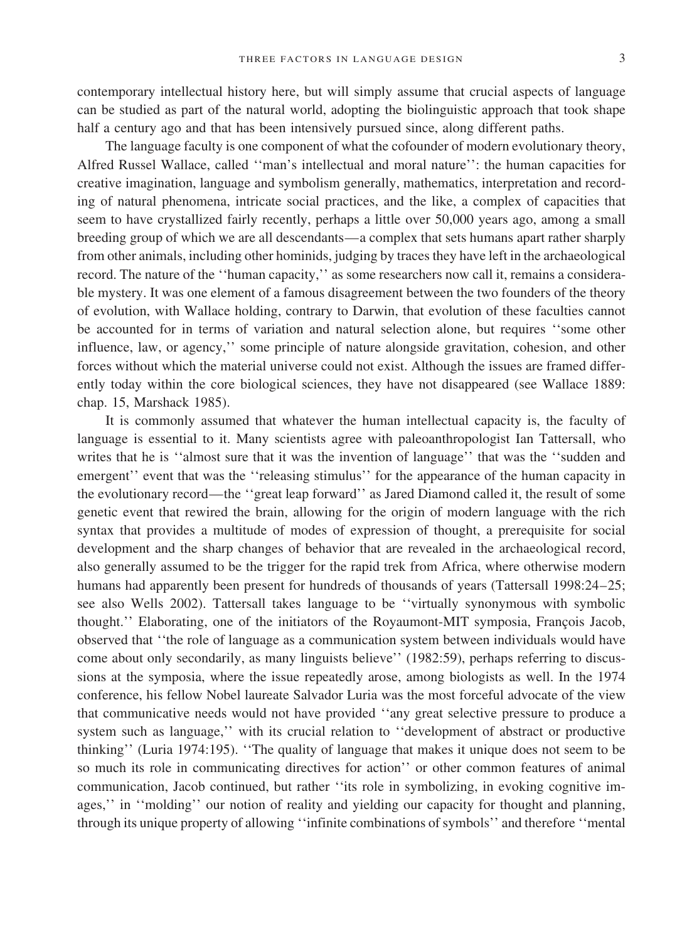contemporary intellectual history here, but will simply assume that crucial aspects of language can be studied as part of the natural world, adopting the biolinguistic approach that took shape half a century ago and that has been intensively pursued since, along different paths.

The language faculty is one component of what the cofounder of modern evolutionary theory, Alfred Russel Wallace, called "man's intellectual and moral nature": the human capacities for creative imagination, language and symbolism generally, mathematics, interpretation and recording of natural phenomena, intricate social practices, and the like, a complex of capacities that seem to have crystallized fairly recently, perhaps a little over 50,000 years ago, among a small breeding group of which we are all descendants—a complex that sets humans apart rather sharply from other animals, including other hominids, judging by traces they have left in the archaeological record. The nature of the "human capacity," as some researchers now call it, remains a considerable mystery. It was one element of a famous disagreement between the two founders of the theory of evolution, with Wallace holding, contrary to Darwin, that evolution of these faculties cannot be accounted for in terms of variation and natural selection alone, but requires "some other influence, law, or agency," some principle of nature alongside gravitation, cohesion, and other forces without which the material universe could not exist. Although the issues are framed differently today within the core biological sciences, they have not disappeared (see Wallace 1889: chap. 15, Marshack 1985).

It is commonly assumed that whatever the human intellectual capacity is, the faculty of language is essential to it. Many scientists agree with paleoanthropologist Ian Tattersall, who writes that he is "almost sure that it was the invention of language" that was the "sudden and emergent' event that was the "releasing stimulus" for the appearance of the human capacity in the evolutionary record—the "great leap forward" as Jared Diamond called it, the result of some genetic event that rewired the brain, allowing for the origin of modern language with the rich syntax that provides a multitude of modes of expression of thought, a prerequisite for social development and the sharp changes of behavior that are revealed in the archaeological record, also generally assumed to be the trigger for the rapid trek from Africa, where otherwise modern humans had apparently been present for hundreds of thousands of years (Tattersall 1998:24–25; see also Wells 2002). Tattersall takes language to be "virtually synonymous with symbolic thought." Elaborating, one of the initiators of the Royaumont-MIT symposia, François Jacob, observed that "the role of language as a communication system between individuals would have come about only secondarily, as many linguists believe'' (1982:59), perhaps referring to discussions at the symposia, where the issue repeatedly arose, among biologists as well. In the 1974 conference, his fellow Nobel laureate Salvador Luria was the most forceful advocate of the view that communicative needs would not have provided "any great selective pressure to produce a system such as language," with its crucial relation to "development of abstract or productive thinking" (Luria 1974:195). "The quality of language that makes it unique does not seem to be so much its role in communicating directives for action" or other common features of animal communication, Jacob continued, but rather "its role in symbolizing, in evoking cognitive images," in "molding" our notion of reality and yielding our capacity for thought and planning, through its unique property of allowing "infinite combinations of symbols" and therefore "mental"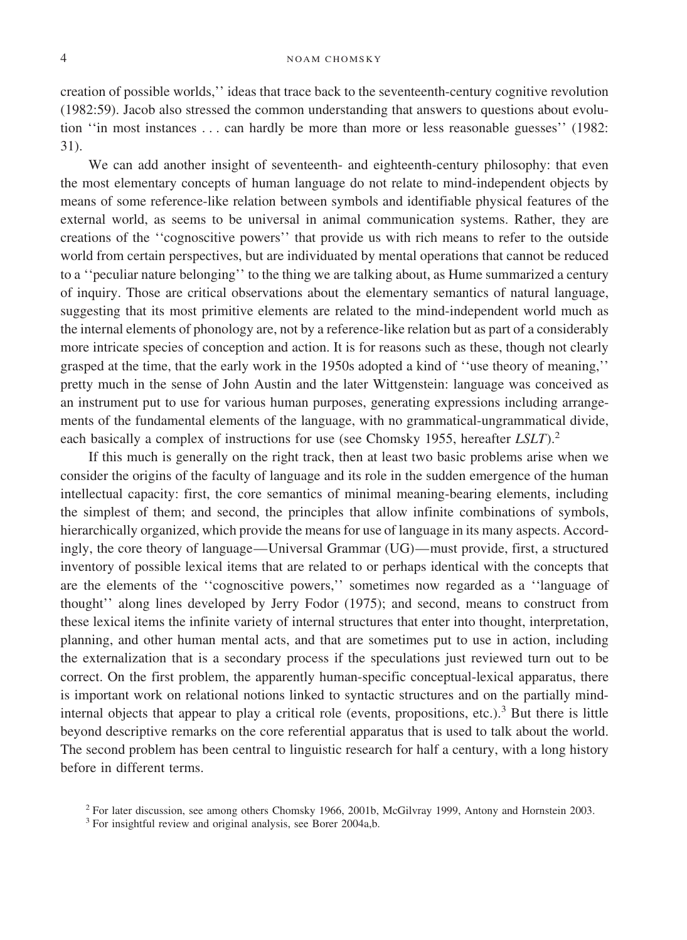creation of possible worlds," ideas that trace back to the seventeenth-century cognitive revolution (1982:59). Jacob also stressed the common understanding that answers to questions about evolution "in most instances ... can hardly be more than more or less reasonable guesses" (1982:  $31).$ 

We can add another insight of seventeenth- and eighteenth-century philosophy: that even the most elementary concepts of human language do not relate to mind-independent objects by means of some reference-like relation between symbols and identifiable physical features of the external world, as seems to be universal in animal communication systems. Rather, they are creations of the "cognoscitive powers" that provide us with rich means to refer to the outside world from certain perspectives, but are individuated by mental operations that cannot be reduced to a "peculiar nature belonging" to the thing we are talking about, as Hume summarized a century of inquiry. Those are critical observations about the elementary semantics of natural language, suggesting that its most primitive elements are related to the mind-independent world much as the internal elements of phonology are, not by a reference-like relation but as part of a considerably more intricate species of conception and action. It is for reasons such as these, though not clearly grasped at the time, that the early work in the 1950s adopted a kind of "use theory of meaning," pretty much in the sense of John Austin and the later Wittgenstein: language was conceived as an instrument put to use for various human purposes, generating expressions including arrangements of the fundamental elements of the language, with no grammatical-ungrammatical divide, each basically a complex of instructions for use (see Chomsky 1955, hereafter LSLT).<sup>2</sup>

If this much is generally on the right track, then at least two basic problems arise when we consider the origins of the faculty of language and its role in the sudden emergence of the human intellectual capacity: first, the core semantics of minimal meaning-bearing elements, including the simplest of them; and second, the principles that allow infinite combinations of symbols, hierarchically organized, which provide the means for use of language in its many aspects. Accordingly, the core theory of language—Universal Grammar (UG)—must provide, first, a structured inventory of possible lexical items that are related to or perhaps identical with the concepts that are the elements of the "cognoscitive powers," sometimes now regarded as a "language of thought' along lines developed by Jerry Fodor (1975); and second, means to construct from these lexical items the infinite variety of internal structures that enter into thought, interpretation, planning, and other human mental acts, and that are sometimes put to use in action, including the externalization that is a secondary process if the speculations just reviewed turn out to be correct. On the first problem, the apparently human-specific conceptual-lexical apparatus, there is important work on relational notions linked to syntactic structures and on the partially mindinternal objects that appear to play a critical role (events, propositions, etc.).<sup>3</sup> But there is little beyond descriptive remarks on the core referential apparatus that is used to talk about the world. The second problem has been central to linguistic research for half a century, with a long history before in different terms.

<sup>&</sup>lt;sup>2</sup> For later discussion, see among others Chomsky 1966, 2001b, McGilvray 1999, Antony and Hornstein 2003.

<sup>&</sup>lt;sup>3</sup> For insightful review and original analysis, see Borer 2004a,b.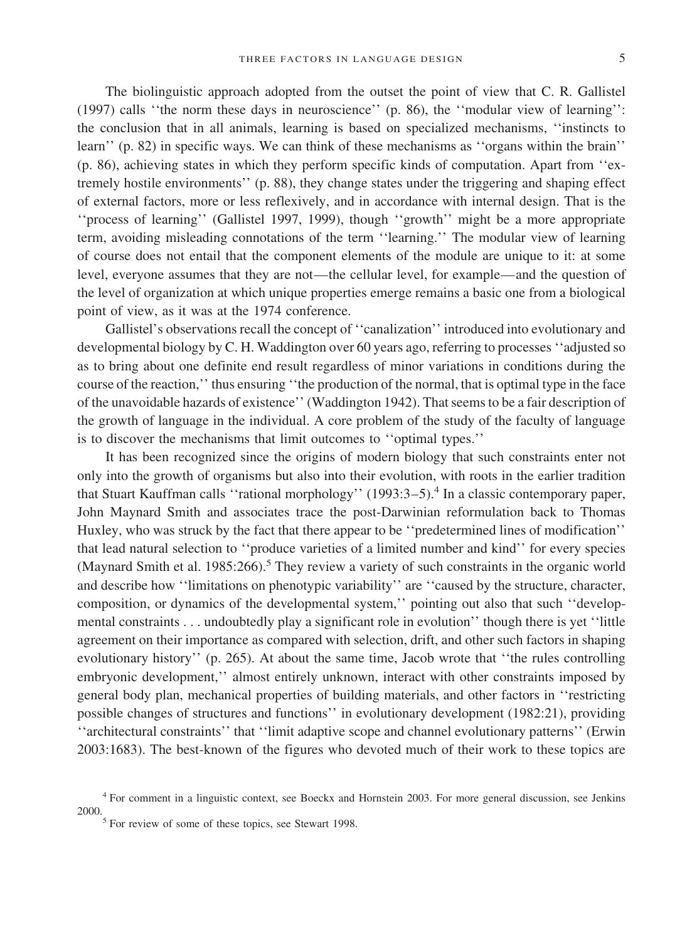The biolinguistic approach adopted from the outset the point of view that C. R. Gallistel (1997) calls "the norm these days in neuroscience" (p. 86), the "modular view of learning": the conclusion that in all animals, learning is based on specialized mechanisms, "instincts to learn'' (p. 82) in specific ways. We can think of these mechanisms as "organs within the brain" (p. 86), achieving states in which they perform specific kinds of computation. Apart from "extremely hostile environments" (p. 88), they change states under the triggering and shaping effect of external factors, more or less reflexively, and in accordance with internal design. That is the "process of learning" (Gallistel 1997, 1999), though "growth" might be a more appropriate term, avoiding misleading connotations of the term "learning." The modular view of learning of course does not entail that the component elements of the module are unique to it: at some level, everyone assumes that they are not—the cellular level, for example—and the question of the level of organization at which unique properties emerge remains a basic one from a biological point of view, as it was at the 1974 conference.

Gallistel's observations recall the concept of "canalization" introduced into evolutionary and developmental biology by C. H. Waddington over 60 years ago, referring to processes "adjusted so as to bring about one definite end result regardless of minor variations in conditions during the course of the reaction," thus ensuring "the production of the normal, that is optimal type in the face of the unavoidable hazards of existence'' (Waddington 1942). That seems to be a fair description of the growth of language in the individual. A core problem of the study of the faculty of language is to discover the mechanisms that limit outcomes to "optimal types."

It has been recognized since the origins of modern biology that such constraints enter not only into the growth of organisms but also into their evolution, with roots in the earlier tradition that Stuart Kauffman calls "rational morphology" (1993:3-5).<sup>4</sup> In a classic contemporary paper, John Maynard Smith and associates trace the post-Darwinian reformulation back to Thomas Huxley, who was struck by the fact that there appear to be "predetermined lines of modification" that lead natural selection to "produce varieties of a limited number and kind" for every species (Maynard Smith et al. 1985:266).<sup>5</sup> They review a variety of such constraints in the organic world and describe how "limitations on phenotypic variability" are "caused by the structure, character, composition, or dynamics of the developmental system," pointing out also that such "developmental constraints . . . undoubtedly play a significant role in evolution" though there is yet "little agreement on their importance as compared with selection, drift, and other such factors in shaping evolutionary history' (p. 265). At about the same time, Jacob wrote that "the rules controlling embryonic development," almost entirely unknown, interact with other constraints imposed by general body plan, mechanical properties of building materials, and other factors in "restricting possible changes of structures and functions' in evolutionary development (1982:21), providing "architectural constraints" that "limit adaptive scope and channel evolutionary patterns" (Erwin 2003:1683). The best-known of the figures who devoted much of their work to these topics are

<sup>&</sup>lt;sup>4</sup> For comment in a linguistic context, see Boeckx and Hornstein 2003. For more general discussion, see Jenkins 2000.

 $5$  For review of some of these topics, see Stewart 1998.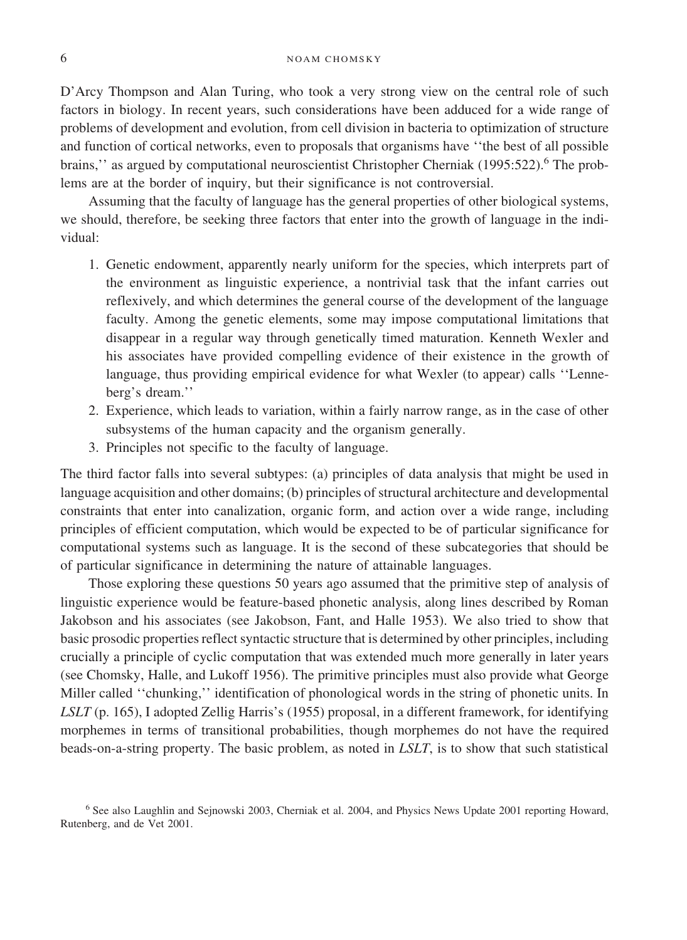D'Arcy Thompson and Alan Turing, who took a very strong view on the central role of such factors in biology. In recent years, such considerations have been adduced for a wide range of problems of development and evolution, from cell division in bacteria to optimization of structure and function of cortical networks, even to proposals that organisms have "the best of all possible brains," as argued by computational neuroscientist Christopher Cherniak (1995:522).<sup>6</sup> The problems are at the border of inquiry, but their significance is not controversial.

Assuming that the faculty of language has the general properties of other biological systems, we should, therefore, be seeking three factors that enter into the growth of language in the individual:

- 1. Genetic endowment, apparently nearly uniform for the species, which interprets part of the environment as linguistic experience, a nontrivial task that the infant carries out reflexively, and which determines the general course of the development of the language faculty. Among the genetic elements, some may impose computational limitations that disappear in a regular way through genetically timed maturation. Kenneth Wexler and his associates have provided compelling evidence of their existence in the growth of language, thus providing empirical evidence for what Wexler (to appear) calls "Lenneberg's dream."
- 2. Experience, which leads to variation, within a fairly narrow range, as in the case of other subsystems of the human capacity and the organism generally.
- 3. Principles not specific to the faculty of language.

The third factor falls into several subtypes: (a) principles of data analysis that might be used in language acquisition and other domains; (b) principles of structural architecture and developmental constraints that enter into canalization, organic form, and action over a wide range, including principles of efficient computation, which would be expected to be of particular significance for computational systems such as language. It is the second of these subcategories that should be of particular significance in determining the nature of attainable languages.

Those exploring these questions 50 years ago assumed that the primitive step of analysis of linguistic experience would be feature-based phonetic analysis, along lines described by Roman Jakobson and his associates (see Jakobson, Fant, and Halle 1953). We also tried to show that basic prosodic properties reflect syntactic structure that is determined by other principles, including crucially a principle of cyclic computation that was extended much more generally in later years (see Chomsky, Halle, and Lukoff 1956). The primitive principles must also provide what George Miller called "chunking," identification of phonological words in the string of phonetic units. In LSLT (p. 165), I adopted Zellig Harris's (1955) proposal, in a different framework, for identifying morphemes in terms of transitional probabilities, though morphemes do not have the required beads-on-a-string property. The basic problem, as noted in LSLT, is to show that such statistical

<sup>&</sup>lt;sup>6</sup> See also Laughlin and Sejnowski 2003, Cherniak et al. 2004, and Physics News Update 2001 reporting Howard, Rutenberg, and de Vet 2001.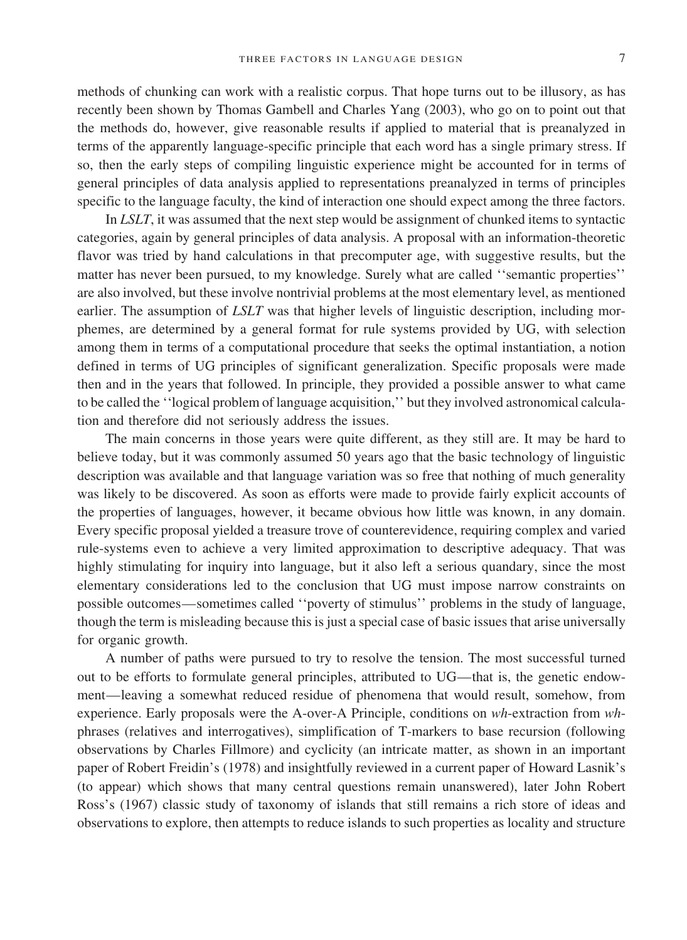methods of chunking can work with a realistic corpus. That hope turns out to be illusory, as has recently been shown by Thomas Gambell and Charles Yang (2003), who go on to point out that the methods do, however, give reasonable results if applied to material that is preanalyzed in terms of the apparently language-specific principle that each word has a single primary stress. If so, then the early steps of compiling linguistic experience might be accounted for in terms of general principles of data analysis applied to representations preanalyzed in terms of principles specific to the language faculty, the kind of interaction one should expect among the three factors.

In LSLT, it was assumed that the next step would be assignment of chunked items to syntactic categories, again by general principles of data analysis. A proposal with an information-theoretic flavor was tried by hand calculations in that precomputer age, with suggestive results, but the matter has never been pursued, to my knowledge. Surely what are called "semantic properties" are also involved, but these involve nontrivial problems at the most elementary level, as mentioned earlier. The assumption of LSLT was that higher levels of linguistic description, including morphemes, are determined by a general format for rule systems provided by UG, with selection among them in terms of a computational procedure that seeks the optimal instantiation, a notion defined in terms of UG principles of significant generalization. Specific proposals were made then and in the years that followed. In principle, they provided a possible answer to what came to be called the "logical problem of language acquisition," but they involved astronomical calculation and therefore did not seriously address the issues.

The main concerns in those years were quite different, as they still are. It may be hard to believe today, but it was commonly assumed 50 years ago that the basic technology of linguistic description was available and that language variation was so free that nothing of much generality was likely to be discovered. As soon as efforts were made to provide fairly explicit accounts of the properties of languages, however, it became obvious how little was known, in any domain. Every specific proposal yielded a treasure trove of counterevidence, requiring complex and varied rule-systems even to achieve a very limited approximation to descriptive adequacy. That was highly stimulating for inquiry into language, but it also left a serious quandary, since the most elementary considerations led to the conclusion that UG must impose narrow constraints on possible outcomes—sometimes called "poverty of stimulus" problems in the study of language, though the term is misleading because this is just a special case of basic issues that arise universally for organic growth.

A number of paths were pursued to try to resolve the tension. The most successful turned out to be efforts to formulate general principles, attributed to UG—that is, the genetic endowment-leaving a somewhat reduced residue of phenomena that would result, somehow, from experience. Early proposals were the A-over-A Principle, conditions on wh-extraction from whphrases (relatives and interrogatives), simplification of T-markers to base recursion (following observations by Charles Fillmore) and cyclicity (an intricate matter, as shown in an important paper of Robert Freidin's (1978) and insightfully reviewed in a current paper of Howard Lasnik's (to appear) which shows that many central questions remain unanswered), later John Robert Ross's (1967) classic study of taxonomy of islands that still remains a rich store of ideas and observations to explore, then attempts to reduce islands to such properties as locality and structure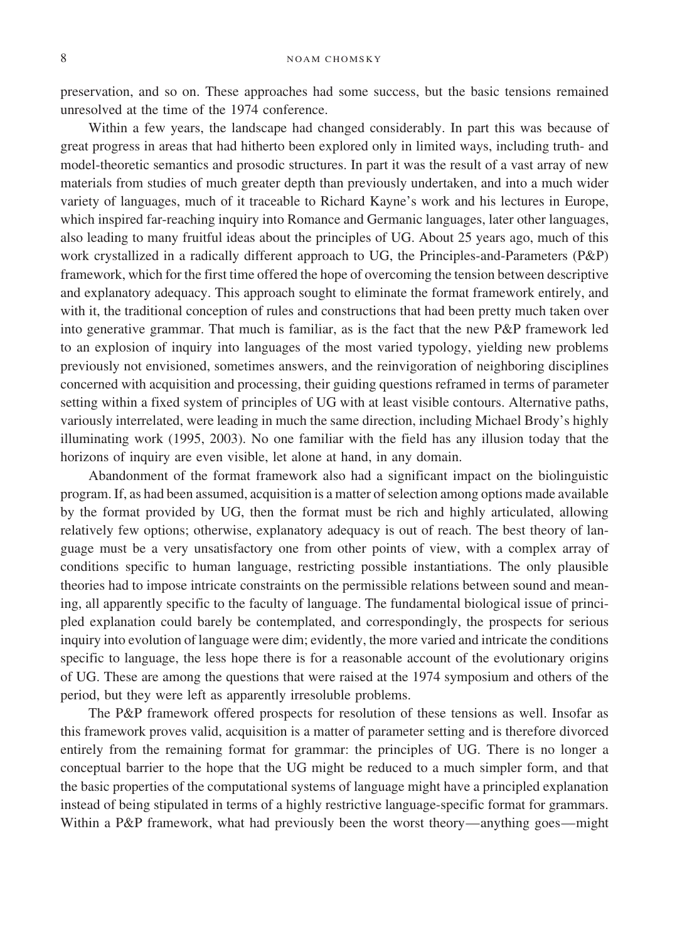preservation, and so on. These approaches had some success, but the basic tensions remained unresolved at the time of the 1974 conference.

Within a few years, the landscape had changed considerably. In part this was because of great progress in areas that had hitherto been explored only in limited ways, including truth- and model-theoretic semantics and prosodic structures. In part it was the result of a vast array of new materials from studies of much greater depth than previously undertaken, and into a much wider variety of languages, much of it traceable to Richard Kayne's work and his lectures in Europe, which inspired far-reaching inquiry into Romance and Germanic languages, later other languages, also leading to many fruitful ideas about the principles of UG. About 25 years ago, much of this work crystallized in a radically different approach to UG, the Principles-and-Parameters (P&P) framework, which for the first time offered the hope of overcoming the tension between descriptive and explanatory adequacy. This approach sought to eliminate the format framework entirely, and with it, the traditional conception of rules and constructions that had been pretty much taken over into generative grammar. That much is familiar, as is the fact that the new P&P framework led to an explosion of inquiry into languages of the most varied typology, yielding new problems previously not envisioned, sometimes answers, and the reinvigoration of neighboring disciplines concerned with acquisition and processing, their guiding questions reframed in terms of parameter setting within a fixed system of principles of UG with at least visible contours. Alternative paths, variously interrelated, were leading in much the same direction, including Michael Brody's highly illuminating work (1995, 2003). No one familiar with the field has any illusion today that the horizons of inquiry are even visible, let alone at hand, in any domain.

Abandonment of the format framework also had a significant impact on the biolinguistic program. If, as had been assumed, acquisition is a matter of selection among options made available by the format provided by UG, then the format must be rich and highly articulated, allowing relatively few options; otherwise, explanatory adequacy is out of reach. The best theory of language must be a very unsatisfactory one from other points of view, with a complex array of conditions specific to human language, restricting possible instantiations. The only plausible theories had to impose intricate constraints on the permissible relations between sound and meaning, all apparently specific to the faculty of language. The fundamental biological issue of principled explanation could barely be contemplated, and correspondingly, the prospects for serious inquiry into evolution of language were dim; evidently, the more varied and intricate the conditions specific to language, the less hope there is for a reasonable account of the evolutionary origins of UG. These are among the questions that were raised at the 1974 symposium and others of the period, but they were left as apparently irresoluble problems.

The P&P framework offered prospects for resolution of these tensions as well. Insofar as this framework proves valid, acquisition is a matter of parameter setting and is therefore divorced entirely from the remaining format for grammar: the principles of UG. There is no longer a conceptual barrier to the hope that the UG might be reduced to a much simpler form, and that the basic properties of the computational systems of language might have a principled explanation instead of being stipulated in terms of a highly restrictive language-specific format for grammars. Within a P&P framework, what had previously been the worst theory—anything goes—might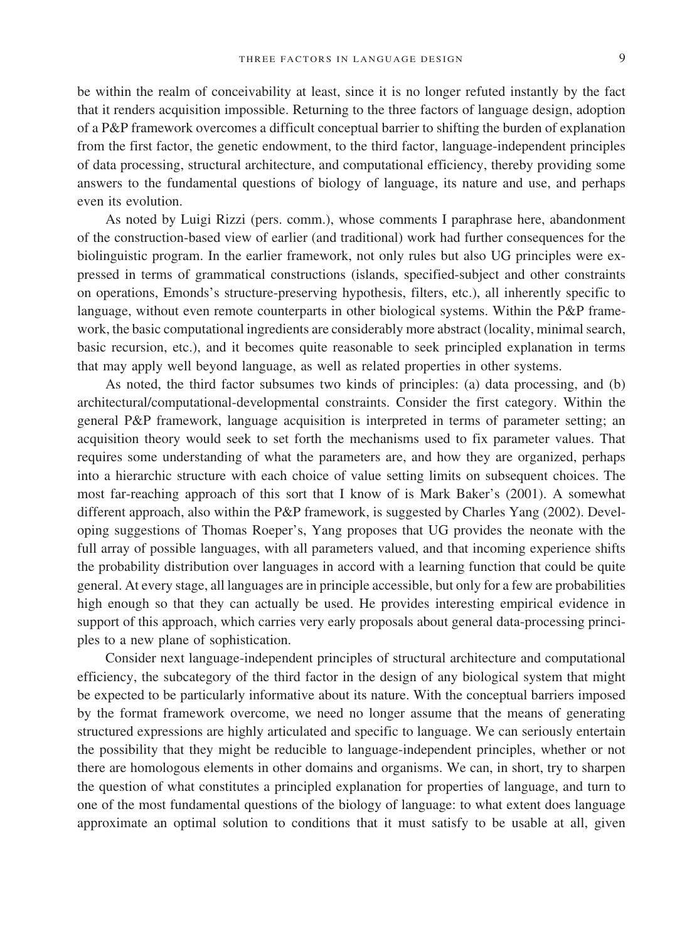be within the realm of conceivability at least, since it is no longer refuted instantly by the fact that it renders acquisition impossible. Returning to the three factors of language design, adoption of a P&P framework overcomes a difficult conceptual barrier to shifting the burden of explanation from the first factor, the genetic endowment, to the third factor, language-independent principles of data processing, structural architecture, and computational efficiency, thereby providing some answers to the fundamental questions of biology of language, its nature and use, and perhaps even its evolution.

As noted by Luigi Rizzi (pers. comm.), whose comments I paraphrase here, abandonment of the construction-based view of earlier (and traditional) work had further consequences for the biolinguistic program. In the earlier framework, not only rules but also UG principles were expressed in terms of grammatical constructions (islands, specified-subject and other constraints on operations, Emonds's structure-preserving hypothesis, filters, etc.), all inherently specific to language, without even remote counterparts in other biological systems. Within the P&P framework, the basic computational ingredients are considerably more abstract (locality, minimal search, basic recursion, etc.), and it becomes quite reasonable to seek principled explanation in terms that may apply well beyond language, as well as related properties in other systems.

As noted, the third factor subsumes two kinds of principles: (a) data processing, and (b) architectural/computational-developmental constraints. Consider the first category. Within the general P&P framework, language acquisition is interpreted in terms of parameter setting; an acquisition theory would seek to set forth the mechanisms used to fix parameter values. That requires some understanding of what the parameters are, and how they are organized, perhaps into a hierarchic structure with each choice of value setting limits on subsequent choices. The most far-reaching approach of this sort that I know of is Mark Baker's (2001). A somewhat different approach, also within the P&P framework, is suggested by Charles Yang (2002). Developing suggestions of Thomas Roeper's, Yang proposes that UG provides the neonate with the full array of possible languages, with all parameters valued, and that incoming experience shifts the probability distribution over languages in accord with a learning function that could be quite general. At every stage, all languages are in principle accessible, but only for a few are probabilities high enough so that they can actually be used. He provides interesting empirical evidence in support of this approach, which carries very early proposals about general data-processing principles to a new plane of sophistication.

Consider next language-independent principles of structural architecture and computational efficiency, the subcategory of the third factor in the design of any biological system that might be expected to be particularly informative about its nature. With the conceptual barriers imposed by the format framework overcome, we need no longer assume that the means of generating structured expressions are highly articulated and specific to language. We can seriously entertain the possibility that they might be reducible to language-independent principles, whether or not there are homologous elements in other domains and organisms. We can, in short, try to sharpen the question of what constitutes a principled explanation for properties of language, and turn to one of the most fundamental questions of the biology of language: to what extent does language approximate an optimal solution to conditions that it must satisfy to be usable at all, given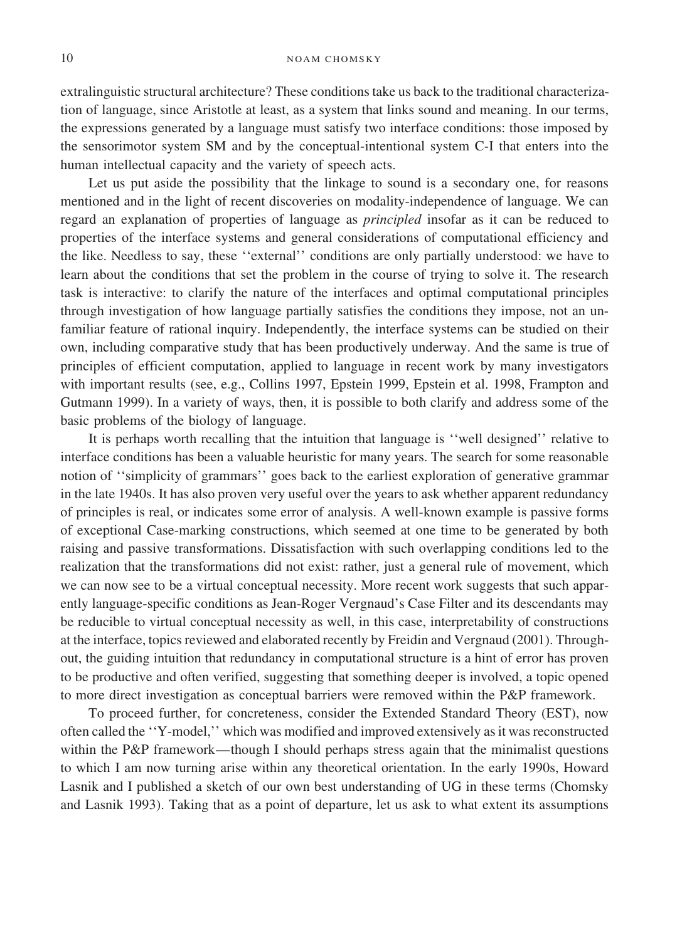extralinguistic structural architecture? These conditions take us back to the traditional characterization of language, since Aristotle at least, as a system that links sound and meaning. In our terms, the expressions generated by a language must satisfy two interface conditions: those imposed by the sensorimotor system SM and by the conceptual-intentional system C-I that enters into the human intellectual capacity and the variety of speech acts.

Let us put aside the possibility that the linkage to sound is a secondary one, for reasons mentioned and in the light of recent discoveries on modality-independence of language. We can regard an explanation of properties of language as *principled* insofar as it can be reduced to properties of the interface systems and general considerations of computational efficiency and the like. Needless to say, these "external" conditions are only partially understood: we have to learn about the conditions that set the problem in the course of trying to solve it. The research task is interactive: to clarify the nature of the interfaces and optimal computational principles through investigation of how language partially satisfies the conditions they impose, not an unfamiliar feature of rational inquiry. Independently, the interface systems can be studied on their own, including comparative study that has been productively underway. And the same is true of principles of efficient computation, applied to language in recent work by many investigators with important results (see, e.g., Collins 1997, Epstein 1999, Epstein et al. 1998, Frampton and Gutmann 1999). In a variety of ways, then, it is possible to both clarify and address some of the basic problems of the biology of language.

It is perhaps worth recalling that the intuition that language is "well designed" relative to interface conditions has been a valuable heuristic for many years. The search for some reasonable notion of "simplicity of grammars" goes back to the earliest exploration of generative grammar in the late 1940s. It has also proven very useful over the years to ask whether apparent redundancy of principles is real, or indicates some error of analysis. A well-known example is passive forms of exceptional Case-marking constructions, which seemed at one time to be generated by both raising and passive transformations. Dissatisfaction with such overlapping conditions led to the realization that the transformations did not exist: rather, just a general rule of movement, which we can now see to be a virtual conceptual necessity. More recent work suggests that such apparently language-specific conditions as Jean-Roger Vergnaud's Case Filter and its descendants may be reducible to virtual conceptual necessity as well, in this case, interpretability of constructions at the interface, topics reviewed and elaborated recently by Freidin and Vergnaud (2001). Throughout, the guiding intuition that redundancy in computational structure is a hint of error has proven to be productive and often verified, suggesting that something deeper is involved, a topic opened to more direct investigation as conceptual barriers were removed within the P&P framework.

To proceed further, for concreteness, consider the Extended Standard Theory (EST), now often called the "Y-model," which was modified and improved extensively as it was reconstructed within the P&P framework—though I should perhaps stress again that the minimalist questions to which I am now turning arise within any theoretical orientation. In the early 1990s, Howard Lasnik and I published a sketch of our own best understanding of UG in these terms (Chomsky and Lasnik 1993). Taking that as a point of departure, let us ask to what extent its assumptions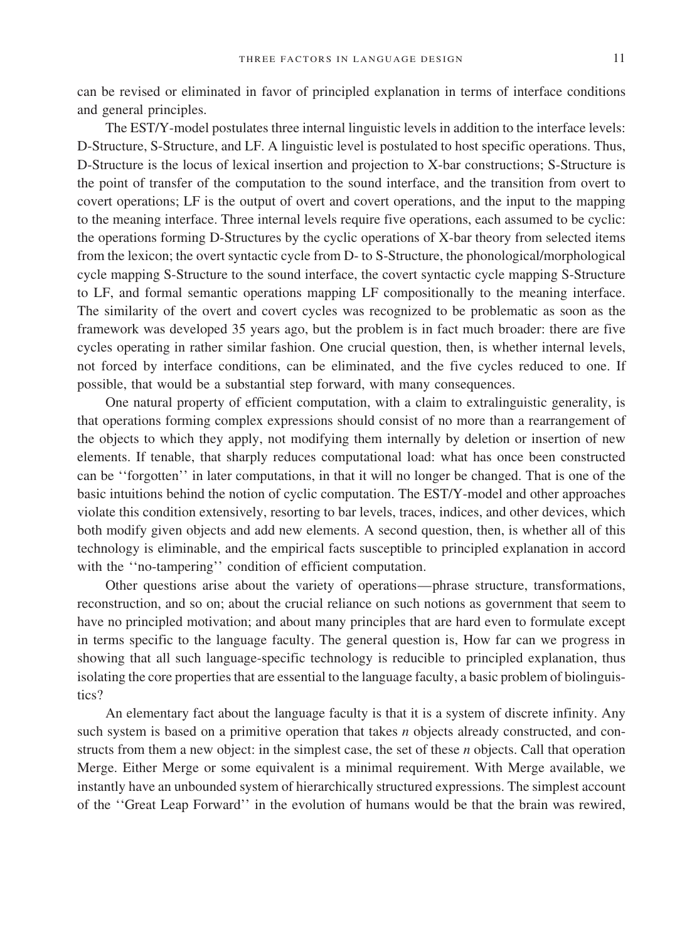can be revised or eliminated in favor of principled explanation in terms of interface conditions and general principles.

The EST/Y-model postulates three internal linguistic levels in addition to the interface levels: D-Structure, S-Structure, and LF. A linguistic level is postulated to host specific operations. Thus, D-Structure is the locus of lexical insertion and projection to X-bar constructions; S-Structure is the point of transfer of the computation to the sound interface, and the transition from overt to covert operations; LF is the output of overt and covert operations, and the input to the mapping to the meaning interface. Three internal levels require five operations, each assumed to be cyclic: the operations forming D-Structures by the cyclic operations of X-bar theory from selected items from the lexicon; the overt syntactic cycle from D- to S-Structure, the phonological/morphological cycle mapping S-Structure to the sound interface, the covert syntactic cycle mapping S-Structure to LF, and formal semantic operations mapping LF compositionally to the meaning interface. The similarity of the overt and covert cycles was recognized to be problematic as soon as the framework was developed 35 years ago, but the problem is in fact much broader: there are five cycles operating in rather similar fashion. One crucial question, then, is whether internal levels, not forced by interface conditions, can be eliminated, and the five cycles reduced to one. If possible, that would be a substantial step forward, with many consequences.

One natural property of efficient computation, with a claim to extralinguistic generality, is that operations forming complex expressions should consist of no more than a rearrangement of the objects to which they apply, not modifying them internally by deletion or insertion of new elements. If tenable, that sharply reduces computational load: what has once been constructed can be "forgotten" in later computations, in that it will no longer be changed. That is one of the basic intuitions behind the notion of cyclic computation. The EST/Y-model and other approaches violate this condition extensively, resorting to bar levels, traces, indices, and other devices, which both modify given objects and add new elements. A second question, then, is whether all of this technology is eliminable, and the empirical facts susceptible to principled explanation in accord with the "no-tampering" condition of efficient computation.

Other questions arise about the variety of operations—phrase structure, transformations, reconstruction, and so on; about the crucial reliance on such notions as government that seem to have no principled motivation; and about many principles that are hard even to formulate except in terms specific to the language faculty. The general question is, How far can we progress in showing that all such language-specific technology is reducible to principled explanation, thus isolating the core properties that are essential to the language faculty, a basic problem of biolinguistics?

An elementary fact about the language faculty is that it is a system of discrete infinity. Any such system is based on a primitive operation that takes  $n$  objects already constructed, and constructs from them a new object: in the simplest case, the set of these  $n$  objects. Call that operation Merge. Either Merge or some equivalent is a minimal requirement. With Merge available, we instantly have an unbounded system of hierarchically structured expressions. The simplest account of the "Great Leap Forward" in the evolution of humans would be that the brain was rewired,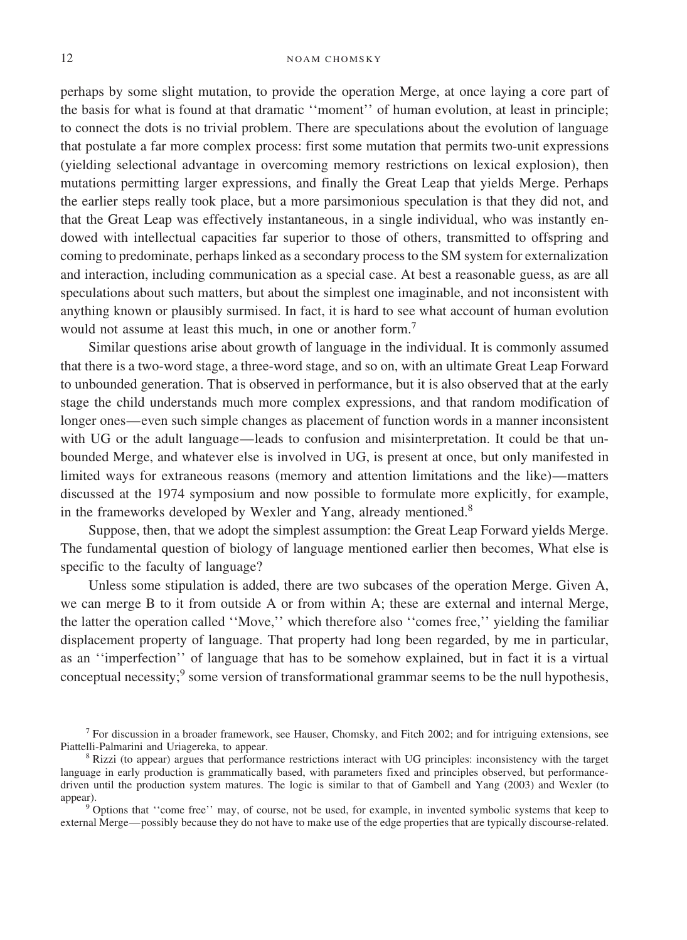perhaps by some slight mutation, to provide the operation Merge, at once laying a core part of the basis for what is found at that dramatic "moment" of human evolution, at least in principle; to connect the dots is no trivial problem. There are speculations about the evolution of language that postulate a far more complex process: first some mutation that permits two-unit expressions (yielding selectional advantage in overcoming memory restrictions on lexical explosion), then mutations permitting larger expressions, and finally the Great Leap that yields Merge. Perhaps the earlier steps really took place, but a more parsimonious speculation is that they did not, and that the Great Leap was effectively instantaneous, in a single individual, who was instantly endowed with intellectual capacities far superior to those of others, transmitted to offspring and coming to predominate, perhaps linked as a secondary process to the SM system for externalization and interaction, including communication as a special case. At best a reasonable guess, as are all speculations about such matters, but about the simplest one imaginable, and not inconsistent with anything known or plausibly surmised. In fact, it is hard to see what account of human evolution would not assume at least this much, in one or another form.<sup>7</sup>

Similar questions arise about growth of language in the individual. It is commonly assumed that there is a two-word stage, a three-word stage, and so on, with an ultimate Great Leap Forward to unbounded generation. That is observed in performance, but it is also observed that at the early stage the child understands much more complex expressions, and that random modification of longer ones—even such simple changes as placement of function words in a manner inconsistent with UG or the adult language—leads to confusion and misinterpretation. It could be that unbounded Merge, and whatever else is involved in UG, is present at once, but only manifested in limited ways for extraneous reasons (memory and attention limitations and the like)—matters discussed at the 1974 symposium and now possible to formulate more explicitly, for example, in the frameworks developed by Wexler and Yang, already mentioned.<sup>8</sup>

Suppose, then, that we adopt the simplest assumption: the Great Leap Forward yields Merge. The fundamental question of biology of language mentioned earlier then becomes, What else is specific to the faculty of language?

Unless some stipulation is added, there are two subcases of the operation Merge. Given A, we can merge B to it from outside A or from within A; these are external and internal Merge, the latter the operation called "Move," which therefore also "comes free," yielding the familiar displacement property of language. That property had long been regarded, by me in particular, as an "imperfection" of language that has to be somehow explained, but in fact it is a virtual conceptual necessity;<sup>9</sup> some version of transformational grammar seems to be the null hypothesis,

<sup>9</sup> Options that "come free" may, of course, not be used, for example, in invented symbolic systems that keep to external Merge—possibly because they do not have to make use of the edge properties that are typically discourse-related.

 $^7$  For discussion in a broader framework, see Hauser, Chomsky, and Fitch 2002; and for intriguing extensions, see Piattelli-Palmarini and Uriagereka, to appear.

<sup>&</sup>lt;sup>8</sup> Rizzi (to appear) argues that performance restrictions interact with UG principles: inconsistency with the target language in early production is grammatically based, with parameters fixed and principles observed, but performancedriven until the production system matures. The logic is similar to that of Gambell and Yang (2003) and Wexler (to appear).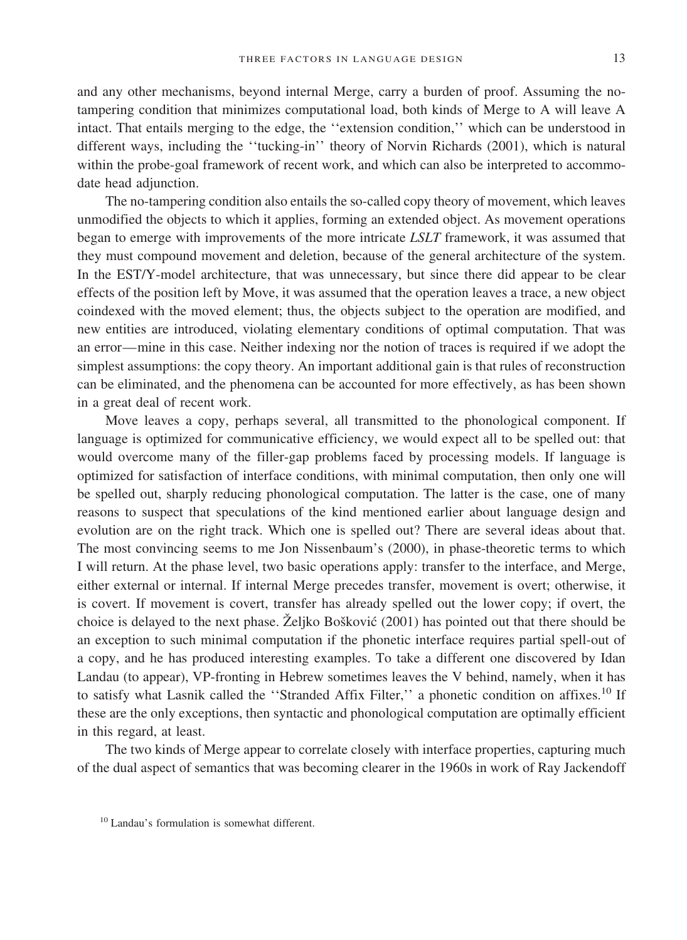and any other mechanisms, beyond internal Merge, carry a burden of proof. Assuming the notampering condition that minimizes computational load, both kinds of Merge to A will leave A intact. That entails merging to the edge, the "extension condition," which can be understood in different ways, including the "tucking-in" theory of Norvin Richards (2001), which is natural within the probe-goal framework of recent work, and which can also be interpreted to accommodate head adjunction.

The no-tampering condition also entails the so-called copy theory of movement, which leaves unmodified the objects to which it applies, forming an extended object. As movement operations began to emerge with improvements of the more intricate LSLT framework, it was assumed that they must compound movement and deletion, because of the general architecture of the system. In the EST/Y-model architecture, that was unnecessary, but since there did appear to be clear effects of the position left by Move, it was assumed that the operation leaves a trace, a new object coindexed with the moved element; thus, the objects subject to the operation are modified, and new entities are introduced, violating elementary conditions of optimal computation. That was an error—mine in this case. Neither indexing nor the notion of traces is required if we adopt the simplest assumptions: the copy theory. An important additional gain is that rules of reconstruction can be eliminated, and the phenomena can be accounted for more effectively, as has been shown in a great deal of recent work.

Move leaves a copy, perhaps several, all transmitted to the phonological component. If language is optimized for communicative efficiency, we would expect all to be spelled out: that would overcome many of the filler-gap problems faced by processing models. If language is optimized for satisfaction of interface conditions, with minimal computation, then only one will be spelled out, sharply reducing phonological computation. The latter is the case, one of many reasons to suspect that speculations of the kind mentioned earlier about language design and evolution are on the right track. Which one is spelled out? There are several ideas about that. The most convincing seems to me Jon Nissenbaum's (2000), in phase-theoretic terms to which I will return. At the phase level, two basic operations apply: transfer to the interface, and Merge, either external or internal. If internal Merge precedes transfer, movement is overt; otherwise, it is covert. If movement is covert, transfer has already spelled out the lower copy; if overt, the choice is delayed to the next phase. Željko Bošković (2001) has pointed out that there should be an exception to such minimal computation if the phonetic interface requires partial spell-out of a copy, and he has produced interesting examples. To take a different one discovered by Idan Landau (to appear), VP-fronting in Hebrew sometimes leaves the V behind, namely, when it has to satisfy what Lasnik called the "Stranded Affix Filter," a phonetic condition on affixes.<sup>10</sup> If these are the only exceptions, then syntactic and phonological computation are optimally efficient in this regard, at least.

The two kinds of Merge appear to correlate closely with interface properties, capturing much of the dual aspect of semantics that was becoming clearer in the 1960s in work of Ray Jackendoff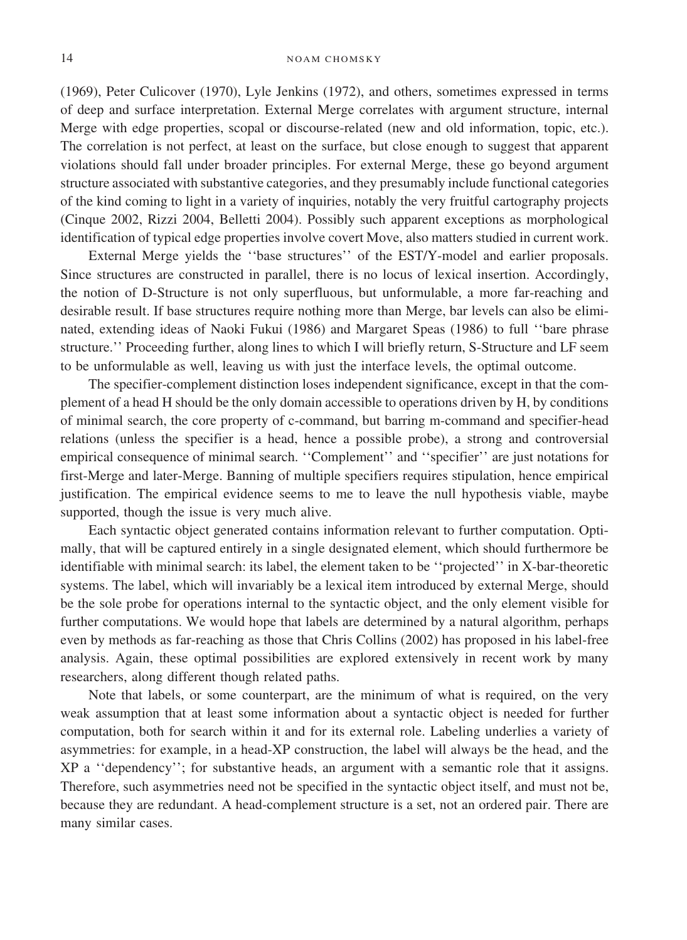#### **NOAM CHOMSKY**

(1969), Peter Culicover (1970), Lyle Jenkins (1972), and others, sometimes expressed in terms of deep and surface interpretation. External Merge correlates with argument structure, internal Merge with edge properties, scopal or discourse-related (new and old information, topic, etc.). The correlation is not perfect, at least on the surface, but close enough to suggest that apparent violations should fall under broader principles. For external Merge, these go beyond argument structure associated with substantive categories, and they presumably include functional categories of the kind coming to light in a variety of inquiries, notably the very fruitful cartography projects (Cinque 2002, Rizzi 2004, Belletti 2004). Possibly such apparent exceptions as morphological identification of typical edge properties involve covert Move, also matters studied in current work.

External Merge yields the "base structures" of the EST/Y-model and earlier proposals. Since structures are constructed in parallel, there is no locus of lexical insertion. Accordingly, the notion of D-Structure is not only superfluous, but unformulable, a more far-reaching and desirable result. If base structures require nothing more than Merge, bar levels can also be eliminated, extending ideas of Naoki Fukui (1986) and Margaret Speas (1986) to full "bare phrase structure." Proceeding further, along lines to which I will briefly return, S-Structure and LF seem to be unformulable as well, leaving us with just the interface levels, the optimal outcome.

The specifier-complement distinction loses independent significance, except in that the complement of a head H should be the only domain accessible to operations driven by H, by conditions of minimal search, the core property of c-command, but barring m-command and specifier-head relations (unless the specifier is a head, hence a possible probe), a strong and controversial empirical consequence of minimal search. "Complement" and "specifier" are just notations for first-Merge and later-Merge. Banning of multiple specifiers requires stipulation, hence empirical justification. The empirical evidence seems to me to leave the null hypothesis viable, maybe supported, though the issue is very much alive.

Each syntactic object generated contains information relevant to further computation. Optimally, that will be captured entirely in a single designated element, which should furthermore be identifiable with minimal search: its label, the element taken to be "projected" in X-bar-theoretic systems. The label, which will invariably be a lexical item introduced by external Merge, should be the sole probe for operations internal to the syntactic object, and the only element visible for further computations. We would hope that labels are determined by a natural algorithm, perhaps even by methods as far-reaching as those that Chris Collins (2002) has proposed in his label-free analysis. Again, these optimal possibilities are explored extensively in recent work by many researchers, along different though related paths.

Note that labels, or some counterpart, are the minimum of what is required, on the very weak assumption that at least some information about a syntactic object is needed for further computation, both for search within it and for its external role. Labeling underlies a variety of asymmetries: for example, in a head-XP construction, the label will always be the head, and the XP a "dependency"; for substantive heads, an argument with a semantic role that it assigns. Therefore, such asymmetries need not be specified in the syntactic object itself, and must not be, because they are redundant. A head-complement structure is a set, not an ordered pair. There are many similar cases.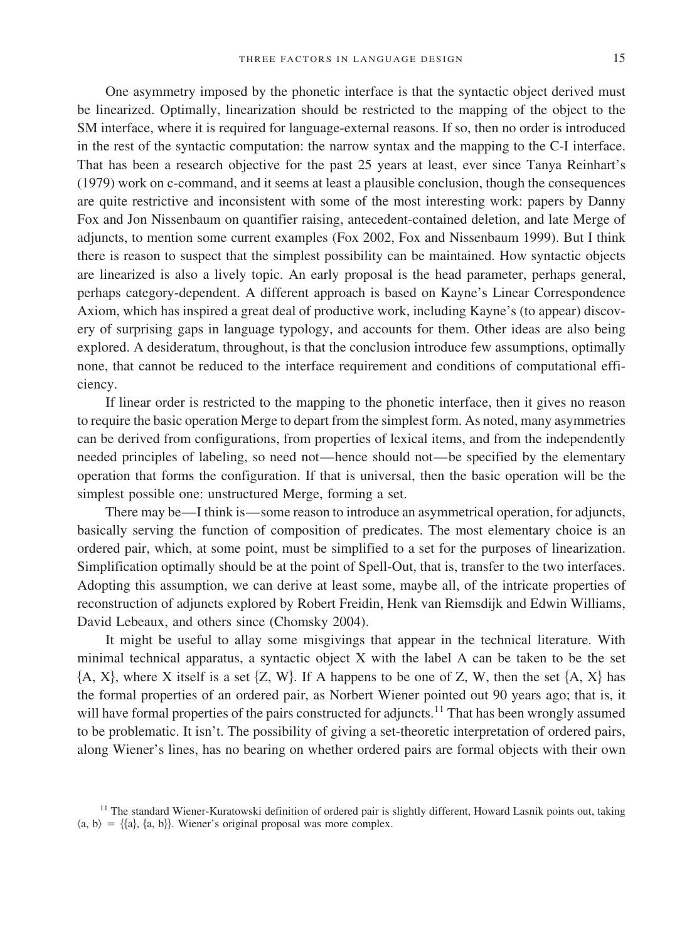One asymmetry imposed by the phonetic interface is that the syntactic object derived must be linearized. Optimally, linearization should be restricted to the mapping of the object to the SM interface, where it is required for language-external reasons. If so, then no order is introduced in the rest of the syntactic computation: the narrow syntax and the mapping to the C-I interface. That has been a research objective for the past 25 years at least, ever since Tanya Reinhart's (1979) work on c-command, and it seems at least a plausible conclusion, though the consequences are quite restrictive and inconsistent with some of the most interesting work: papers by Danny Fox and Jon Nissenbaum on quantifier raising, antecedent-contained deletion, and late Merge of adjuncts, to mention some current examples (Fox 2002, Fox and Nissenbaum 1999). But I think there is reason to suspect that the simplest possibility can be maintained. How syntactic objects are linearized is also a lively topic. An early proposal is the head parameter, perhaps general, perhaps category-dependent. A different approach is based on Kayne's Linear Correspondence Axiom, which has inspired a great deal of productive work, including Kayne's (to appear) discovery of surprising gaps in language typology, and accounts for them. Other ideas are also being explored. A desideratum, throughout, is that the conclusion introduce few assumptions, optimally none, that cannot be reduced to the interface requirement and conditions of computational efficiency.

If linear order is restricted to the mapping to the phonetic interface, then it gives no reason to require the basic operation Merge to depart from the simplest form. As noted, many asymmetries can be derived from configurations, from properties of lexical items, and from the independently needed principles of labeling, so need not—hence should not—be specified by the elementary operation that forms the configuration. If that is universal, then the basic operation will be the simplest possible one: unstructured Merge, forming a set.

There may be—I think is—some reason to introduce an asymmetrical operation, for adjuncts, basically serving the function of composition of predicates. The most elementary choice is an ordered pair, which, at some point, must be simplified to a set for the purposes of linearization. Simplification optimally should be at the point of Spell-Out, that is, transfer to the two interfaces. Adopting this assumption, we can derive at least some, maybe all, of the intricate properties of reconstruction of adjuncts explored by Robert Freidin, Henk van Riemsdijk and Edwin Williams, David Lebeaux, and others since (Chomsky 2004).

It might be useful to allay some misgivings that appear in the technical literature. With minimal technical apparatus, a syntactic object X with the label A can be taken to be the set  $\{A, X\}$ , where X itself is a set  $\{Z, W\}$ . If A happens to be one of Z, W, then the set  $\{A, X\}$  has the formal properties of an ordered pair, as Norbert Wiener pointed out 90 years ago; that is, it will have formal properties of the pairs constructed for adjuncts.<sup>11</sup> That has been wrongly assumed to be problematic. It isn't. The possibility of giving a set-theoretic interpretation of ordered pairs, along Wiener's lines, has no bearing on whether ordered pairs are formal objects with their own

<sup>&</sup>lt;sup>11</sup> The standard Wiener-Kuratowski definition of ordered pair is slightly different, Howard Lasnik points out, taking  $\langle a, b \rangle = \{\{a\}, \{a, b\}\}\$ . Wiener's original proposal was more complex.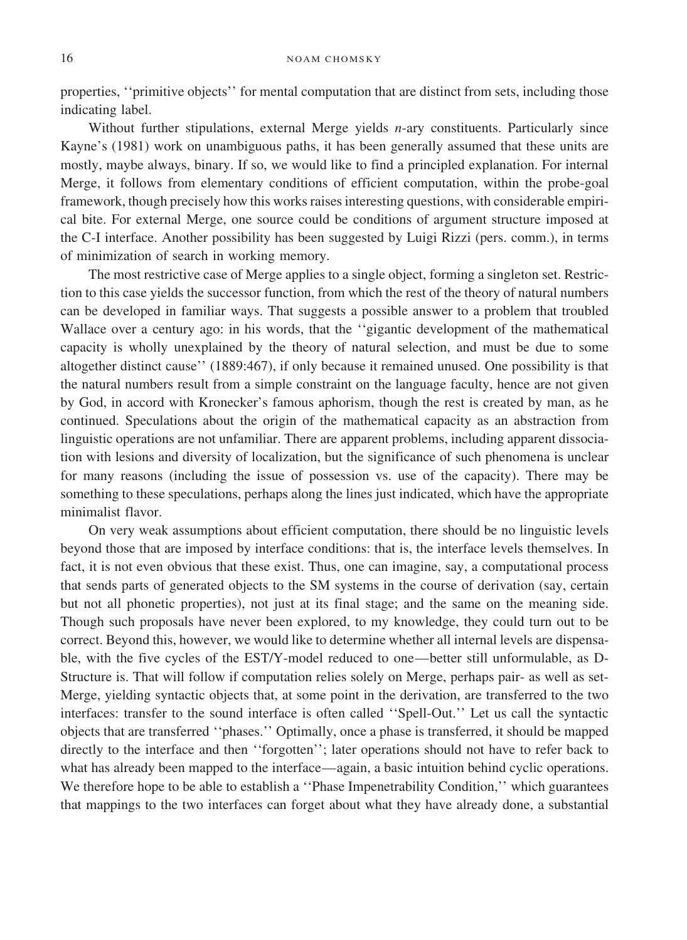properties, "primitive objects" for mental computation that are distinct from sets, including those indicating label.

Without further stipulations, external Merge yields n-ary constituents. Particularly since Kayne's (1981) work on unambiguous paths, it has been generally assumed that these units are mostly, maybe always, binary. If so, we would like to find a principled explanation. For internal Merge, it follows from elementary conditions of efficient computation, within the probe-goal framework, though precisely how this works raises interesting questions, with considerable empirical bite. For external Merge, one source could be conditions of argument structure imposed at the C-I interface. Another possibility has been suggested by Luigi Rizzi (pers. comm.), in terms of minimization of search in working memory.

The most restrictive case of Merge applies to a single object, forming a singleton set. Restriction to this case yields the successor function, from which the rest of the theory of natural numbers can be developed in familiar ways. That suggests a possible answer to a problem that troubled Wallace over a century ago: in his words, that the "gigantic development of the mathematical capacity is wholly unexplained by the theory of natural selection, and must be due to some altogether distinct cause" (1889:467), if only because it remained unused. One possibility is that the natural numbers result from a simple constraint on the language faculty, hence are not given by God, in accord with Kronecker's famous aphorism, though the rest is created by man, as he continued. Speculations about the origin of the mathematical capacity as an abstraction from linguistic operations are not unfamiliar. There are apparent problems, including apparent dissociation with lesions and diversity of localization, but the significance of such phenomena is unclear for many reasons (including the issue of possession vs. use of the capacity). There may be something to these speculations, perhaps along the lines just indicated, which have the appropriate minimalist flavor.

On very weak assumptions about efficient computation, there should be no linguistic levels beyond those that are imposed by interface conditions: that is, the interface levels themselves. In fact, it is not even obvious that these exist. Thus, one can imagine, say, a computational process that sends parts of generated objects to the SM systems in the course of derivation (say, certain but not all phonetic properties), not just at its final stage; and the same on the meaning side. Though such proposals have never been explored, to my knowledge, they could turn out to be correct. Beyond this, however, we would like to determine whether all internal levels are dispensable, with the five cycles of the EST/Y-model reduced to one—better still unformulable, as D-Structure is. That will follow if computation relies solely on Merge, perhaps pair- as well as set-Merge, yielding syntactic objects that, at some point in the derivation, are transferred to the two interfaces: transfer to the sound interface is often called "Spell-Out." Let us call the syntactic objects that are transferred "phases." Optimally, once a phase is transferred, it should be mapped directly to the interface and then "forgotten"; later operations should not have to refer back to what has already been mapped to the interface—again, a basic intuition behind cyclic operations. We therefore hope to be able to establish a "Phase Impenetrability Condition," which guarantees that mappings to the two interfaces can forget about what they have already done, a substantial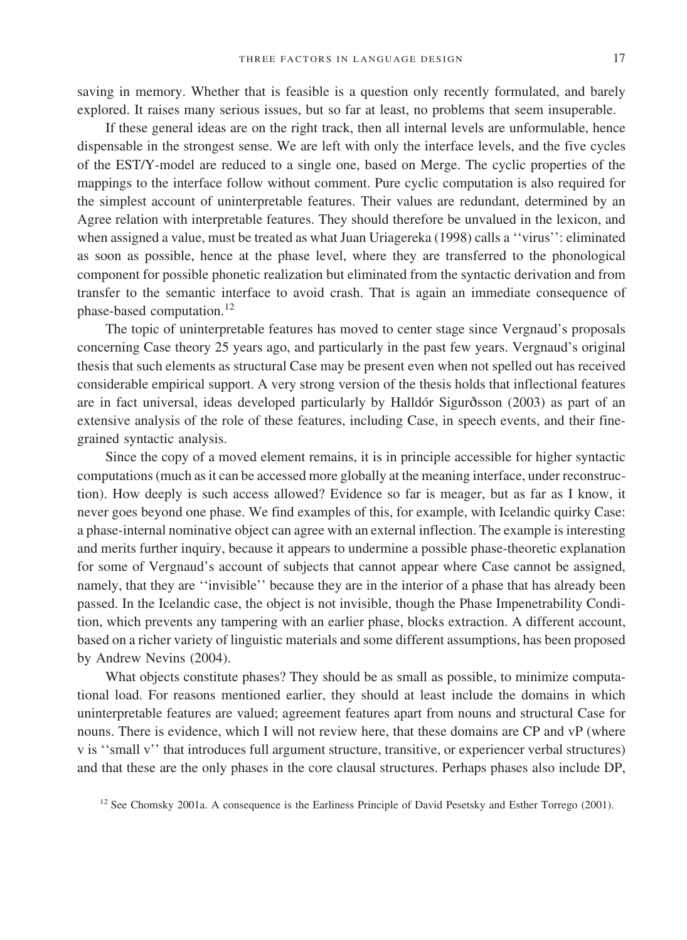saving in memory. Whether that is feasible is a question only recently formulated, and barely explored. It raises many serious issues, but so far at least, no problems that seem insuperable.

If these general ideas are on the right track, then all internal levels are unformulable, hence dispensable in the strongest sense. We are left with only the interface levels, and the five cycles of the EST/Y-model are reduced to a single one, based on Merge. The cyclic properties of the mappings to the interface follow without comment. Pure cyclic computation is also required for the simplest account of uninterpretable features. Their values are redundant, determined by an Agree relation with interpretable features. They should therefore be unvalued in the lexicon, and when assigned a value, must be treated as what Juan Uriagereka (1998) calls a "virus": eliminated as soon as possible, hence at the phase level, where they are transferred to the phonological component for possible phonetic realization but eliminated from the syntactic derivation and from transfer to the semantic interface to avoid crash. That is again an immediate consequence of phase-based computation.<sup>12</sup>

The topic of uninterpretable features has moved to center stage since Vergnaud's proposals concerning Case theory 25 years ago, and particularly in the past few years. Vergnaud's original thesis that such elements as structural Case may be present even when not spelled out has received considerable empirical support. A very strong version of the thesis holds that inflectional features are in fact universal, ideas developed particularly by Halldór Sigurðsson (2003) as part of an extensive analysis of the role of these features, including Case, in speech events, and their finegrained syntactic analysis.

Since the copy of a moved element remains, it is in principle accessible for higher syntactic computations (much as it can be accessed more globally at the meaning interface, under reconstruction). How deeply is such access allowed? Evidence so far is meager, but as far as I know, it never goes beyond one phase. We find examples of this, for example, with Icelandic quirky Case: a phase-internal nominative object can agree with an external inflection. The example is interesting and merits further inquiry, because it appears to undermine a possible phase-theoretic explanation for some of Vergnaud's account of subjects that cannot appear where Case cannot be assigned, namely, that they are "invisible" because they are in the interior of a phase that has already been passed. In the Icelandic case, the object is not invisible, though the Phase Impenetrability Condition, which prevents any tampering with an earlier phase, blocks extraction. A different account, based on a richer variety of linguistic materials and some different assumptions, has been proposed by Andrew Nevins (2004).

What objects constitute phases? They should be as small as possible, to minimize computational load. For reasons mentioned earlier, they should at least include the domains in which uninterpretable features are valued; agreement features apart from nouns and structural Case for nouns. There is evidence, which I will not review here, that these domains are CP and vP (where v is "small v" that introduces full argument structure, transitive, or experiencer verbal structures) and that these are the only phases in the core clausal structures. Perhaps phases also include DP,

<sup>&</sup>lt;sup>12</sup> See Chomsky 2001a. A consequence is the Earliness Principle of David Pesetsky and Esther Torrego (2001).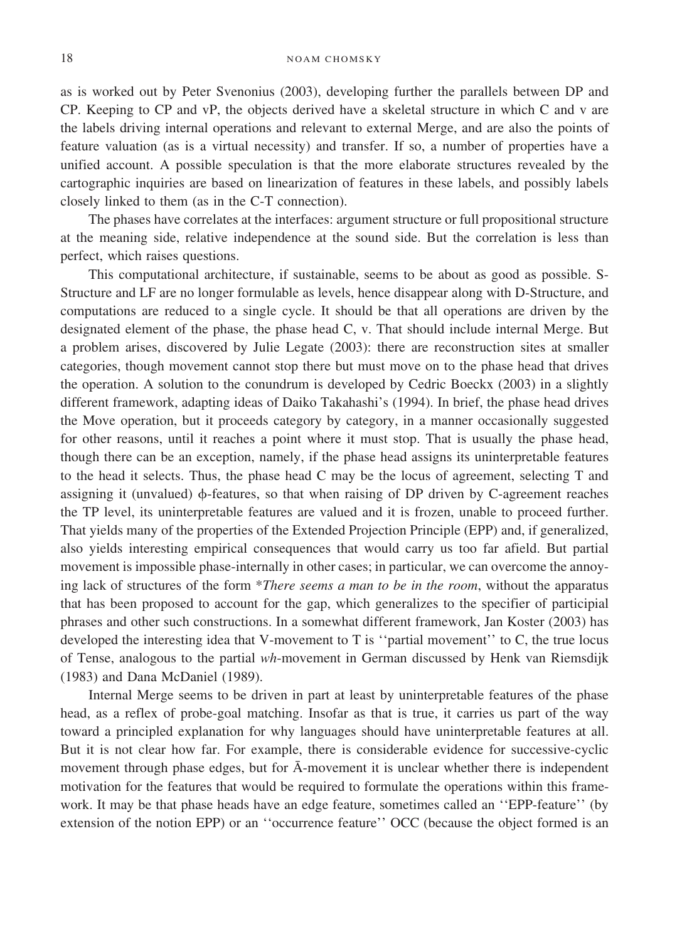as is worked out by Peter Svenonius (2003), developing further the parallels between DP and CP. Keeping to CP and vP, the objects derived have a skeletal structure in which C and v are the labels driving internal operations and relevant to external Merge, and are also the points of feature valuation (as is a virtual necessity) and transfer. If so, a number of properties have a unified account. A possible speculation is that the more elaborate structures revealed by the cartographic inquiries are based on linearization of features in these labels, and possibly labels closely linked to them (as in the C-T connection).

The phases have correlates at the interfaces: argument structure or full propositional structure at the meaning side, relative independence at the sound side. But the correlation is less than perfect, which raises questions.

This computational architecture, if sustainable, seems to be about as good as possible. S-Structure and LF are no longer formulable as levels, hence disappear along with D-Structure, and computations are reduced to a single cycle. It should be that all operations are driven by the designated element of the phase, the phase head C, v. That should include internal Merge. But a problem arises, discovered by Julie Legate (2003): there are reconstruction sites at smaller categories, though movement cannot stop there but must move on to the phase head that drives the operation. A solution to the conundrum is developed by Cedric Boeckx (2003) in a slightly different framework, adapting ideas of Daiko Takahashi's (1994). In brief, the phase head drives the Move operation, but it proceeds category by category, in a manner occasionally suggested for other reasons, until it reaches a point where it must stop. That is usually the phase head, though there can be an exception, namely, if the phase head assigns its uninterpretable features to the head it selects. Thus, the phase head C may be the locus of agreement, selecting T and assigning it (unvalued)  $\phi$ -features, so that when raising of DP driven by C-agreement reaches the TP level, its uninterpretable features are valued and it is frozen, unable to proceed further. That yields many of the properties of the Extended Projection Principle (EPP) and, if generalized, also yields interesting empirical consequences that would carry us too far afield. But partial movement is impossible phase-internally in other cases; in particular, we can overcome the annoying lack of structures of the form \*There seems a man to be in the room, without the apparatus that has been proposed to account for the gap, which generalizes to the specifier of participial phrases and other such constructions. In a somewhat different framework, Jan Koster (2003) has developed the interesting idea that V-movement to T is "partial movement" to C, the true locus of Tense, analogous to the partial wh-movement in German discussed by Henk van Riemsdijk (1983) and Dana McDaniel (1989).

Internal Merge seems to be driven in part at least by uninterpretable features of the phase head, as a reflex of probe-goal matching. Insofar as that is true, it carries us part of the way toward a principled explanation for why languages should have uninterpretable features at all. But it is not clear how far. For example, there is considerable evidence for successive-cyclic movement through phase edges, but for  $\bar{A}$ -movement it is unclear whether there is independent motivation for the features that would be required to formulate the operations within this framework. It may be that phase heads have an edge feature, sometimes called an "EPP-feature" (by extension of the notion EPP) or an "occurrence feature" OCC (because the object formed is an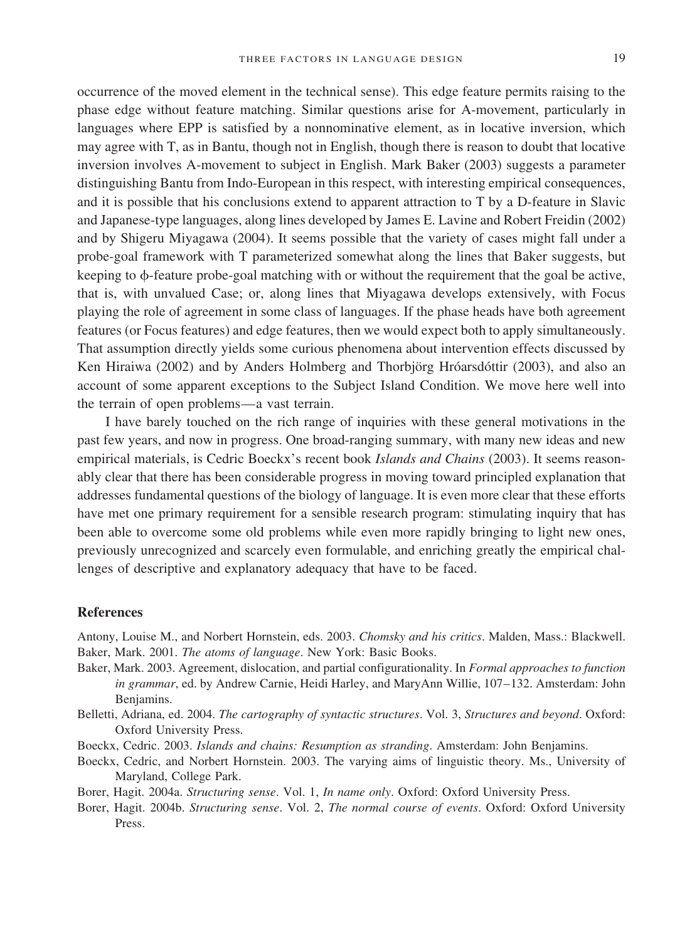occurrence of the moved element in the technical sense). This edge feature permits raising to the phase edge without feature matching. Similar questions arise for A-movement, particularly in languages where EPP is satisfied by a nonnominative element, as in locative inversion, which may agree with T, as in Bantu, though not in English, though there is reason to doubt that locative inversion involves A-movement to subject in English. Mark Baker (2003) suggests a parameter distinguishing Bantu from Indo-European in this respect, with interesting empirical consequences, and it is possible that his conclusions extend to apparent attraction to T by a D-feature in Slavic and Japanese-type languages, along lines developed by James E. Lavine and Robert Freidin (2002) and by Shigeru Miyagawa (2004). It seems possible that the variety of cases might fall under a probe-goal framework with T parameterized somewhat along the lines that Baker suggests, but keeping to  $\phi$ -feature probe-goal matching with or without the requirement that the goal be active, that is, with unvalued Case; or, along lines that Miyagawa develops extensively, with Focus playing the role of agreement in some class of languages. If the phase heads have both agreement features (or Focus features) and edge features, then we would expect both to apply simultaneously. That assumption directly yields some curious phenomena about intervention effects discussed by Ken Hiraiwa (2002) and by Anders Holmberg and Thorbjörg Hróarsdóttir (2003), and also an account of some apparent exceptions to the Subject Island Condition. We move here well into the terrain of open problems—a vast terrain.

I have barely touched on the rich range of inquiries with these general motivations in the past few years, and now in progress. One broad-ranging summary, with many new ideas and new empirical materials, is Cedric Boeckx's recent book Islands and Chains (2003). It seems reasonably clear that there has been considerable progress in moving toward principled explanation that addresses fundamental questions of the biology of language. It is even more clear that these efforts have met one primary requirement for a sensible research program: stimulating inquiry that has been able to overcome some old problems while even more rapidly bringing to light new ones, previously unrecognized and scarcely even formulable, and enriching greatly the empirical challenges of descriptive and explanatory adequacy that have to be faced.

### **References**

Antony, Louise M., and Norbert Hornstein, eds. 2003. Chomsky and his critics. Malden, Mass.: Blackwell. Baker, Mark. 2001. The atoms of language. New York: Basic Books.

- Baker, Mark. 2003. Agreement, dislocation, and partial configurationality. In Formal approaches to function in grammar, ed. by Andrew Carnie, Heidi Harley, and MaryAnn Willie, 107-132. Amsterdam: John Benjamins.
- Belletti, Adriana, ed. 2004. The cartography of syntactic structures. Vol. 3, Structures and beyond. Oxford: Oxford University Press.

Boeckx, Cedric. 2003. Islands and chains: Resumption as stranding. Amsterdam: John Benjamins.

Boeckx, Cedric, and Norbert Hornstein. 2003. The varying aims of linguistic theory. Ms., University of Maryland, College Park.

Borer, Hagit. 2004a. Structuring sense. Vol. 1, In name only. Oxford: Oxford University Press.

Borer, Hagit. 2004b. Structuring sense. Vol. 2, The normal course of events. Oxford: Oxford University Press.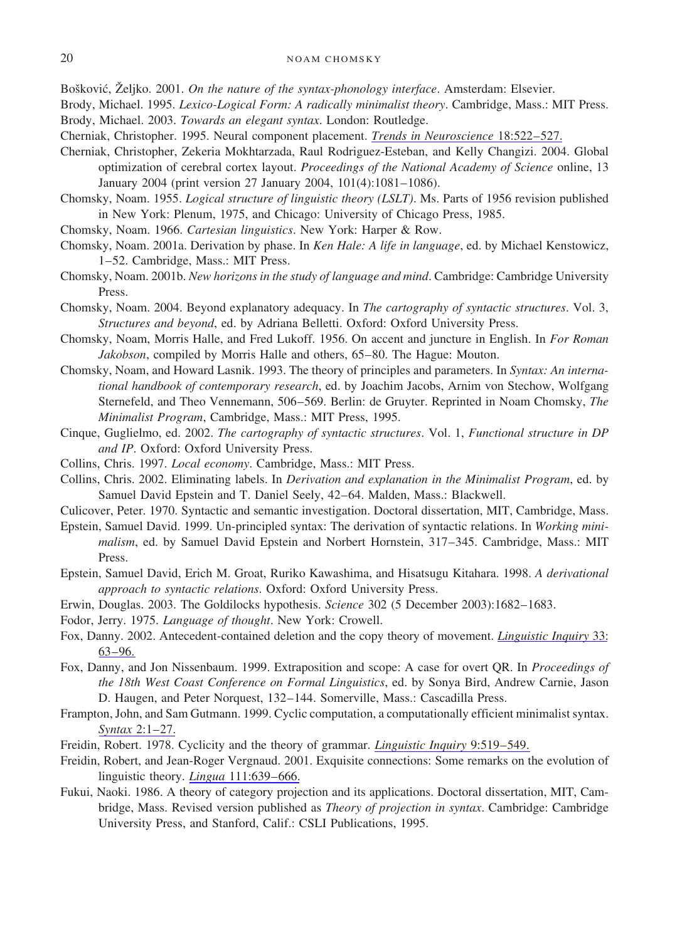Bošković, Željko. 2001. On the nature of the syntax-phonology interface. Amsterdam: Elsevier.

- Brody, Michael. 1995. Lexico-Logical Form: A radically minimalist theory. Cambridge, Mass.: MIT Press. Brody, Michael. 2003. Towards an elegant syntax. London: Routledge.
- Cherniak, Christopher. 1995. Neural component placement. Trends in Neuroscience 18:522-527.
- Cherniak, Christopher, Zekeria Mokhtarzada, Raul Rodriguez-Esteban, and Kelly Changizi. 2004. Global optimization of cerebral cortex layout. Proceedings of the National Academy of Science online, 13 January 2004 (print version 27 January 2004, 101(4):1081-1086).
- Chomsky, Noam. 1955. Logical structure of linguistic theory (LSLT). Ms. Parts of 1956 revision published in New York: Plenum, 1975, and Chicago: University of Chicago Press, 1985.
- Chomsky, Noam. 1966. Cartesian linguistics. New York: Harper & Row.
- Chomsky, Noam. 2001a. Derivation by phase. In Ken Hale: A life in language, ed. by Michael Kenstowicz, 1-52. Cambridge, Mass.: MIT Press.
- Chomsky, Noam. 2001b. New horizons in the study of language and mind. Cambridge: Cambridge University Press.
- Chomsky, Noam. 2004. Beyond explanatory adequacy. In The cartography of syntactic structures. Vol. 3, Structures and beyond, ed. by Adriana Belletti. Oxford: Oxford University Press.
- Chomsky, Noam, Morris Halle, and Fred Lukoff. 1956. On accent and juncture in English. In For Roman Jakobson, compiled by Morris Halle and others, 65–80. The Hague: Mouton.
- Chomsky, Noam, and Howard Lasnik. 1993. The theory of principles and parameters. In Syntax: An international handbook of contemporary research, ed. by Joachim Jacobs, Arnim von Stechow, Wolfgang Sternefeld, and Theo Vennemann, 506–569. Berlin: de Gruyter. Reprinted in Noam Chomsky, The Minimalist Program, Cambridge, Mass.: MIT Press, 1995.
- Cinque, Guglielmo, ed. 2002. The cartography of syntactic structures. Vol. 1, Functional structure in DP and IP. Oxford: Oxford University Press.
- Collins, Chris. 1997. Local economy. Cambridge, Mass.: MIT Press.
- Collins, Chris. 2002. Eliminating labels. In *Derivation and explanation in the Minimalist Program*, ed. by Samuel David Epstein and T. Daniel Seely, 42-64. Malden, Mass.: Blackwell.
- Culicover, Peter. 1970. Syntactic and semantic investigation. Doctoral dissertation, MIT, Cambridge, Mass.
- Epstein, Samuel David. 1999. Un-principled syntax: The derivation of syntactic relations. In Working minimalism, ed. by Samuel David Epstein and Norbert Hornstein, 317-345. Cambridge, Mass.: MIT Press.
- Epstein, Samuel David, Erich M. Groat, Ruriko Kawashima, and Hisatsugu Kitahara. 1998. A derivational approach to syntactic relations. Oxford: Oxford University Press.
- Erwin, Douglas. 2003. The Goldilocks hypothesis. Science 302 (5 December 2003):1682–1683.
- Fodor, Jerry. 1975. Language of thought. New York: Crowell.
- Fox, Danny. 2002. Antecedent-contained deletion and the copy theory of movement. *Linguistic Inquiry* 33:  $63 - 96.$
- Fox, Danny, and Jon Nissenbaum. 1999. Extraposition and scope: A case for overt OR. In *Proceedings of* the 18th West Coast Conference on Formal Linguistics, ed. by Sonya Bird, Andrew Carnie, Jason D. Haugen, and Peter Norquest, 132-144. Somerville, Mass.: Cascadilla Press.
- Frampton, John, and Sam Gutmann. 1999. Cyclic computation, a computationally efficient minimalist syntax. Syntax 2:1-27.
- Freidin, Robert. 1978. Cyclicity and the theory of grammar. *Linguistic Inquiry* 9:519–549.
- Freidin, Robert, and Jean-Roger Vergnaud. 2001. Exquisite connections: Some remarks on the evolution of linguistic theory. *Lingua* 111:639-666.
- Fukui, Naoki. 1986. A theory of category projection and its applications. Doctoral dissertation, MIT, Cambridge, Mass. Revised version published as *Theory of projection in syntax*. Cambridge: Cambridge University Press, and Stanford, Calif.: CSLI Publications, 1995.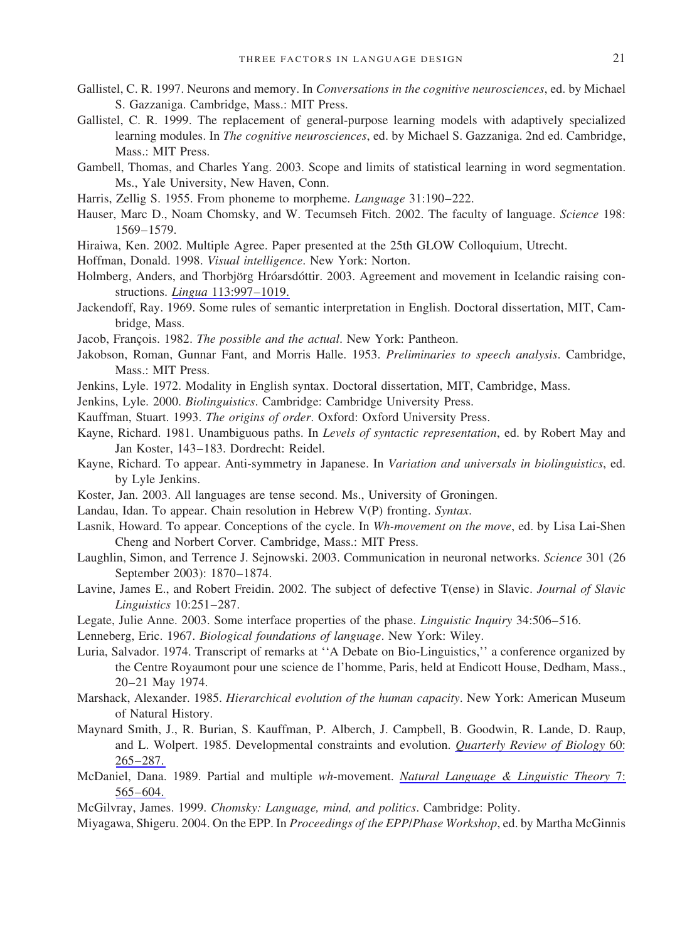- Gallistel, C. R. 1997. Neurons and memory. In Conversations in the cognitive neurosciences, ed. by Michael S. Gazzaniga. Cambridge, Mass.: MIT Press.
- Gallistel, C. R. 1999. The replacement of general-purpose learning models with adaptively specialized learning modules. In *The cognitive neurosciences*, ed. by Michael S. Gazzaniga. 2nd ed. Cambridge, Mass.: MIT Press.
- Gambell, Thomas, and Charles Yang. 2003. Scope and limits of statistical learning in word segmentation. Ms., Yale University, New Haven, Conn.
- Harris, Zellig S. 1955. From phoneme to morpheme. Language 31:190-222.
- Hauser, Marc D., Noam Chomsky, and W. Tecumseh Fitch. 2002. The faculty of language. Science 198: 1569-1579.
- Hiraiwa, Ken. 2002. Multiple Agree. Paper presented at the 25th GLOW Colloquium, Utrecht.
- Hoffman, Donald. 1998. Visual intelligence. New York: Norton.
- Holmberg, Anders, and Thorbjörg Hróarsdóttir. 2003. Agreement and movement in Icelandic raising constructions. *Lingua* 113:997-1019.
- Jackendoff, Ray. 1969. Some rules of semantic interpretation in English. Doctoral dissertation, MIT, Cambridge, Mass.
- Jacob, François. 1982. The possible and the actual. New York: Pantheon.
- Jakobson, Roman, Gunnar Fant, and Morris Halle. 1953. Preliminaries to speech analysis. Cambridge, Mass.: MIT Press.
- Jenkins, Lyle. 1972. Modality in English syntax. Doctoral dissertation, MIT, Cambridge, Mass.
- Jenkins, Lyle. 2000. Biolinguistics. Cambridge: Cambridge University Press.
- Kauffman, Stuart. 1993. The origins of order. Oxford: Oxford University Press.
- Kayne, Richard. 1981. Unambiguous paths. In Levels of syntactic representation, ed. by Robert May and Jan Koster, 143-183. Dordrecht: Reidel.
- Kayne, Richard. To appear. Anti-symmetry in Japanese. In Variation and universals in biolinguistics, ed. by Lyle Jenkins.
- Koster, Jan. 2003. All languages are tense second. Ms., University of Groningen.
- Landau, Idan. To appear. Chain resolution in Hebrew V(P) fronting. Syntax.
- Lasnik, Howard. To appear. Conceptions of the cycle. In Wh-movement on the move, ed. by Lisa Lai-Shen Cheng and Norbert Corver. Cambridge, Mass.: MIT Press.
- Laughlin, Simon, and Terrence J. Sejnowski. 2003. Communication in neuronal networks. Science 301 (26 September 2003): 1870-1874.
- Lavine, James E., and Robert Freidin. 2002. The subject of defective T(ense) in Slavic. Journal of Slavic Linguistics 10:251-287.
- Legate, Julie Anne. 2003. Some interface properties of the phase. *Linguistic Inquiry* 34:506-516.
- Lenneberg, Eric. 1967. Biological foundations of language. New York: Wiley.
- Luria, Salvador. 1974. Transcript of remarks at "A Debate on Bio-Linguistics," a conference organized by the Centre Royaumont pour une science de l'homme, Paris, held at Endicott House, Dedham, Mass., 20-21 May 1974.
- Marshack, Alexander. 1985. Hierarchical evolution of the human capacity. New York: American Museum of Natural History.
- Maynard Smith, J., R. Burian, S. Kauffman, P. Alberch, J. Campbell, B. Goodwin, R. Lande, D. Raup, and L. Wolpert. 1985. Developmental constraints and evolution. *Quarterly Review of Biology* 60:  $265 - 287.$
- McDaniel, Dana. 1989. Partial and multiple wh-movement. Natural Language & Linguistic Theory 7:  $565 - 604.$
- McGilvray, James. 1999. Chomsky: Language, mind, and politics. Cambridge: Polity.

Miyagawa, Shigeru. 2004. On the EPP. In *Proceedings of the EPP/Phase Workshop*, ed. by Martha McGinnis